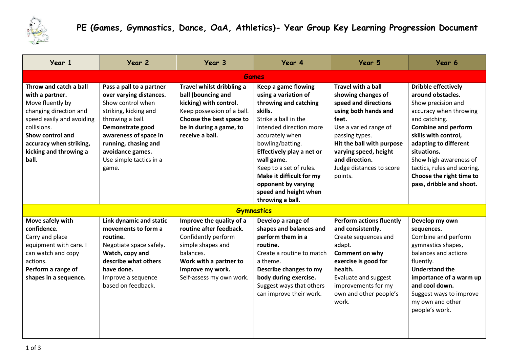

## **PE (Games, Gymnastics, Dance, OaA, Athletics)- Year Group Key Learning Progression Document**

| Year 1                                                                                                                                                                                                                | Year 2                                                                                                                                                                                                                                             | Year 3                                                                                                                                                                                 | Year 4                                                                                                                                                                                                                                                                                                                                          | Year 5                                                                                                                                                                                                                                                             | Year 6                                                                                                                                                                                                                                                                                                                          |  |  |  |
|-----------------------------------------------------------------------------------------------------------------------------------------------------------------------------------------------------------------------|----------------------------------------------------------------------------------------------------------------------------------------------------------------------------------------------------------------------------------------------------|----------------------------------------------------------------------------------------------------------------------------------------------------------------------------------------|-------------------------------------------------------------------------------------------------------------------------------------------------------------------------------------------------------------------------------------------------------------------------------------------------------------------------------------------------|--------------------------------------------------------------------------------------------------------------------------------------------------------------------------------------------------------------------------------------------------------------------|---------------------------------------------------------------------------------------------------------------------------------------------------------------------------------------------------------------------------------------------------------------------------------------------------------------------------------|--|--|--|
| <b>Games</b>                                                                                                                                                                                                          |                                                                                                                                                                                                                                                    |                                                                                                                                                                                        |                                                                                                                                                                                                                                                                                                                                                 |                                                                                                                                                                                                                                                                    |                                                                                                                                                                                                                                                                                                                                 |  |  |  |
| Throw and catch a ball<br>with a partner.<br>Move fluently by<br>changing direction and<br>speed easily and avoiding<br>collisions.<br>Show control and<br>accuracy when striking,<br>kicking and throwing a<br>ball. | Pass a pall to a partner<br>over varying distances.<br>Show control when<br>striking, kicking and<br>throwing a ball.<br>Demonstrate good<br>awareness of space in<br>running, chasing and<br>avoidance games.<br>Use simple tactics in a<br>game. | Travel whilst dribbling a<br>ball (bouncing and<br>kicking) with control.<br>Keep possession of a ball.<br>Choose the best space to<br>be in during a game, to<br>receive a ball.      | Keep a game flowing<br>using a variation of<br>throwing and catching<br>skills.<br>Strike a ball in the<br>intended direction more<br>accurately when<br>bowling/batting.<br>Effectively play a net or<br>wall game.<br>Keep to a set of rules.<br>Make it difficult for my<br>opponent by varying<br>speed and height when<br>throwing a ball. | <b>Travel with a ball</b><br>showing changes of<br>speed and directions<br>using both hands and<br>feet.<br>Use a varied range of<br>passing types.<br>Hit the ball with purpose<br>varying speed, height<br>and direction.<br>Judge distances to score<br>points. | <b>Dribble effectively</b><br>around obstacles.<br>Show precision and<br>accuracy when throwing<br>and catching.<br><b>Combine and perform</b><br>skills with control,<br>adapting to different<br>situations.<br>Show high awareness of<br>tactics, rules and scoring.<br>Choose the right time to<br>pass, dribble and shoot. |  |  |  |
| <b>Gymnastics</b>                                                                                                                                                                                                     |                                                                                                                                                                                                                                                    |                                                                                                                                                                                        |                                                                                                                                                                                                                                                                                                                                                 |                                                                                                                                                                                                                                                                    |                                                                                                                                                                                                                                                                                                                                 |  |  |  |
| Move safely with<br>confidence.<br>Carry and place<br>equipment with care. I<br>can watch and copy<br>actions.<br>Perform a range of<br>shapes in a sequence.                                                         | Link dynamic and static<br>movements to form a<br>routine.<br>Negotiate space safely.<br>Watch, copy and<br>describe what others<br>have done.<br>Improve a sequence<br>based on feedback.                                                         | Improve the quality of a<br>routine after feedback.<br>Confidently perform<br>simple shapes and<br>balances.<br>Work with a partner to<br>improve my work.<br>Self-assess my own work. | Develop a range of<br>shapes and balances and<br>perform them in a<br>routine.<br>Create a routine to match<br>a theme.<br>Describe changes to my<br>body during exercise.<br>Suggest ways that others<br>can improve their work.                                                                                                               | <b>Perform actions fluently</b><br>and consistently.<br>Create sequences and<br>adapt.<br>Comment on why<br>exercise is good for<br>health.<br>Evaluate and suggest<br>improvements for my<br>own and other people's<br>work.                                      | Develop my own<br>sequences.<br>Combine and perform<br>gymnastics shapes,<br>balances and actions<br>fluently.<br><b>Understand the</b><br>importance of a warm up<br>and cool down.<br>Suggest ways to improve<br>my own and other<br>people's work.                                                                           |  |  |  |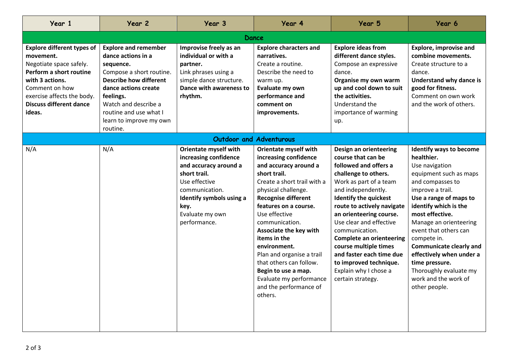| Year 1                                                                                                                                                                                                              | Year 2                                                                                                                                                                                                                                                    | Year 3                                                                                                                                                                                                   | Year 4                                                                                                                                                                                                                                                                                                                                                                                                                                           | Year 5                                                                                                                                                                                                                                                                                                                                                                                                                                              | Year 6                                                                                                                                                                                                                                                                                                                                                                                                               |  |  |  |
|---------------------------------------------------------------------------------------------------------------------------------------------------------------------------------------------------------------------|-----------------------------------------------------------------------------------------------------------------------------------------------------------------------------------------------------------------------------------------------------------|----------------------------------------------------------------------------------------------------------------------------------------------------------------------------------------------------------|--------------------------------------------------------------------------------------------------------------------------------------------------------------------------------------------------------------------------------------------------------------------------------------------------------------------------------------------------------------------------------------------------------------------------------------------------|-----------------------------------------------------------------------------------------------------------------------------------------------------------------------------------------------------------------------------------------------------------------------------------------------------------------------------------------------------------------------------------------------------------------------------------------------------|----------------------------------------------------------------------------------------------------------------------------------------------------------------------------------------------------------------------------------------------------------------------------------------------------------------------------------------------------------------------------------------------------------------------|--|--|--|
| Dance                                                                                                                                                                                                               |                                                                                                                                                                                                                                                           |                                                                                                                                                                                                          |                                                                                                                                                                                                                                                                                                                                                                                                                                                  |                                                                                                                                                                                                                                                                                                                                                                                                                                                     |                                                                                                                                                                                                                                                                                                                                                                                                                      |  |  |  |
| <b>Explore different types of</b><br>movement.<br>Negotiate space safely.<br>Perform a short routine<br>with 3 actions.<br>Comment on how<br>exercise affects the body.<br><b>Discuss different dance</b><br>ideas. | <b>Explore and remember</b><br>dance actions in a<br>sequence.<br>Compose a short routine.<br><b>Describe how different</b><br>dance actions create<br>feelings.<br>Watch and describe a<br>routine and use what I<br>learn to improve my own<br>routine. | Improvise freely as an<br>individual or with a<br>partner.<br>Link phrases using a<br>simple dance structure.<br>Dance with awareness to<br>rhythm.                                                      | <b>Explore characters and</b><br>narratives.<br>Create a routine.<br>Describe the need to<br>warm up.<br>Evaluate my own<br>performance and<br>comment on<br>improvements.                                                                                                                                                                                                                                                                       | <b>Explore ideas from</b><br>different dance styles.<br>Compose an expressive<br>dance.<br>Organise my own warm<br>up and cool down to suit<br>the activities.<br>Understand the<br>importance of warming<br>up.                                                                                                                                                                                                                                    | <b>Explore, improvise and</b><br>combine movements.<br>Create structure to a<br>dance.<br>Understand why dance is<br>good for fitness.<br>Comment on own work<br>and the work of others.                                                                                                                                                                                                                             |  |  |  |
| <b>Outdoor and Adventurous</b>                                                                                                                                                                                      |                                                                                                                                                                                                                                                           |                                                                                                                                                                                                          |                                                                                                                                                                                                                                                                                                                                                                                                                                                  |                                                                                                                                                                                                                                                                                                                                                                                                                                                     |                                                                                                                                                                                                                                                                                                                                                                                                                      |  |  |  |
| N/A                                                                                                                                                                                                                 | N/A                                                                                                                                                                                                                                                       | <b>Orientate myself with</b><br>increasing confidence<br>and accuracy around a<br>short trail.<br>Use effective<br>communication.<br>Identify symbols using a<br>key.<br>Evaluate my own<br>performance. | Orientate myself with<br>increasing confidence<br>and accuracy around a<br>short trail.<br>Create a short trail with a<br>physical challenge.<br><b>Recognise different</b><br>features on a course.<br>Use effective<br>communication.<br>Associate the key with<br>items in the<br>environment.<br>Plan and organise a trail<br>that others can follow.<br>Begin to use a map.<br>Evaluate my performance<br>and the performance of<br>others. | Design an orienteering<br>course that can be<br>followed and offers a<br>challenge to others.<br>Work as part of a team<br>and independently.<br><b>Identify the quickest</b><br>route to actively navigate<br>an orienteering course.<br>Use clear and effective<br>communication.<br><b>Complete an orienteering</b><br>course multiple times<br>and faster each time due<br>to improved technique.<br>Explain why I chose a<br>certain strategy. | Identify ways to become<br>healthier.<br>Use navigation<br>equipment such as maps<br>and compasses to<br>improve a trail.<br>Use a range of maps to<br>identify which is the<br>most effective.<br>Manage an orienteering<br>event that others can<br>compete in.<br><b>Communicate clearly and</b><br>effectively when under a<br>time pressure.<br>Thoroughly evaluate my<br>work and the work of<br>other people. |  |  |  |